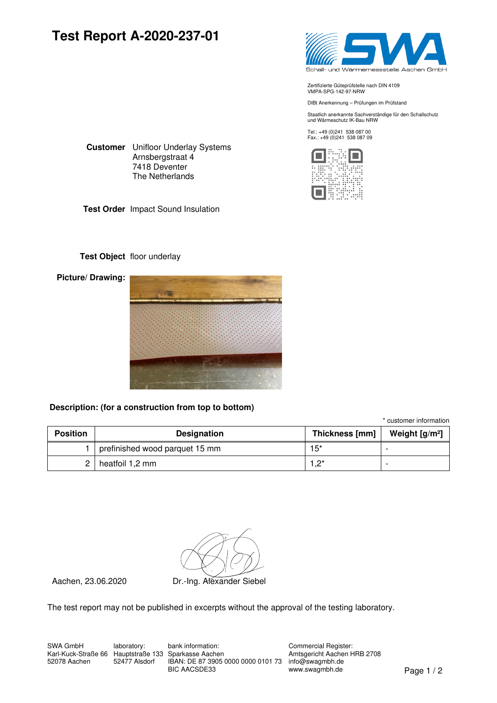## **Test Report A-2020-237-01**



Zertifizierte Güteprüfstelle nach DIN 4109 VMPA-SPG-142-97-NRW

DIBt Anerkennung – Prüfungen im Prüfstand

Staatlich anerkannte Sachverständige für den Schallschutz und Wärmeschutz IK-Bau NRW

Tel.: +49 (0)241 538 087 00 Fax.: +49 (0)241 538 087 09



**Customer** Unifloor Underlay Systems Arnsbergstraat 4 7418 Deventer The Netherlands

**Test Order** Impact Sound Insulation

#### **Test Object** floor underlay

**Picture/ Drawing:**



#### **Description: (for a construction from top to bottom)**

\* customer information

| <b>Position</b> | <b>Designation</b>             | Thickness [mm] | Weight $[g/m^2]$ |
|-----------------|--------------------------------|----------------|------------------|
|                 | prefinished wood parquet 15 mm | $15*$          |                  |
|                 | heatfoil 1,2 mm                | *פ ו           |                  |

Aachen, 23.06.2020 Dr.-Ing. Alexander Siebel

The test report may not be published in excerpts without the approval of the testing laboratory.

Karl-Kuck-Straße 66 Hauptstraße 133 Sparkasse Aachen SWA GmbH 52078 Aachen

laboratory: 52477 Alsdorf

IBAN: DE 87 3905 0000 0000 0101 73 info@swagmbh.de www.swagmbh.de BIC AACSDE33 Page 1 / 2bank information:

Commercial Register: Amtsgericht Aachen HRB 2708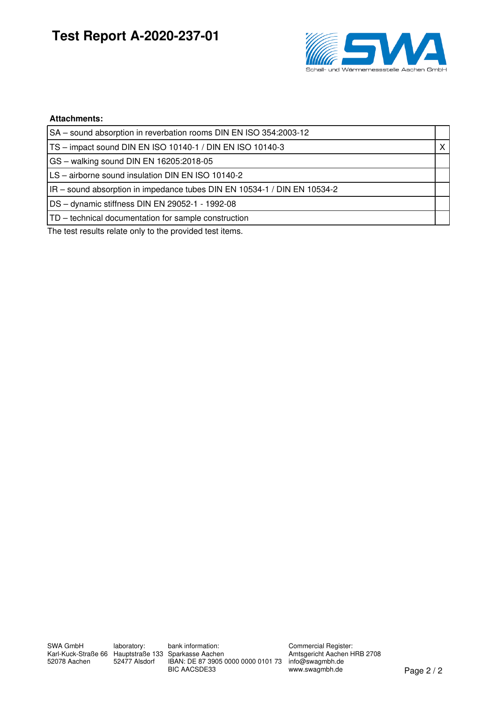# **Test Report A-2020-237-01**



#### **Attachments:**

| SA – sound absorption in reverbation rooms DIN EN ISO 354:2003-12      |  |
|------------------------------------------------------------------------|--|
| TS - impact sound DIN EN ISO 10140-1 / DIN EN ISO 10140-3              |  |
| GS - walking sound DIN EN 16205:2018-05                                |  |
| LS - airborne sound insulation DIN EN ISO 10140-2                      |  |
| IR-sound absorption in impedance tubes DIN EN 10534-1 / DIN EN 10534-2 |  |
| DS - dynamic stiffness DIN EN 29052-1 - 1992-08                        |  |
| TD – technical documentation for sample construction                   |  |
|                                                                        |  |

The test results relate only to the provided test items.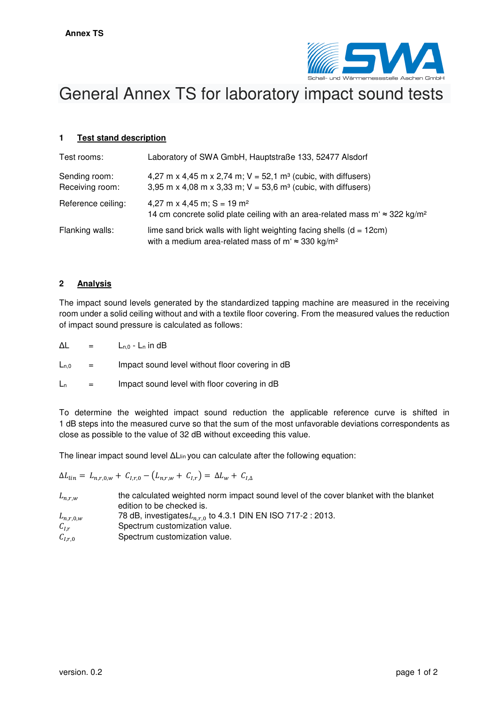

# General Annex TS for laboratory impact sound tests

#### **1 Test stand description**

| Test rooms:                      | Laboratory of SWA GmbH, Hauptstraße 133, 52477 Alsdorf                                                                                                     |
|----------------------------------|------------------------------------------------------------------------------------------------------------------------------------------------------------|
| Sending room:<br>Receiving room: | 4,27 m x 4,45 m x 2,74 m; $V = 52,1$ m <sup>3</sup> (cubic, with diffusers)<br>3,95 m x 4,08 m x 3,33 m; $V = 53,6$ m <sup>3</sup> (cubic, with diffusers) |
| Reference ceiling:               | 4,27 m x 4,45 m; $S = 19$ m <sup>2</sup><br>14 cm concrete solid plate ceiling with an area-related mass m' $\approx$ 322 kg/m <sup>2</sup>                |
| Flanking walls:                  | lime sand brick walls with light weighting facing shells $(d = 12cm)$<br>with a medium area-related mass of m' $\approx$ 330 kg/m <sup>2</sup>             |

#### **2 Analysis**

The impact sound levels generated by the standardized tapping machine are measured in the receiving room under a solid ceiling without and with a textile floor covering. From the measured values the reduction of impact sound pressure is calculated as follows:

 $\Delta L = L_{n,0} - L_n$  in dB

 $L_{n,0}$  = Impact sound level without floor covering in dB

 $L_n$  = Impact sound level with floor covering in dB

To determine the weighted impact sound reduction the applicable reference curve is shifted in 1 dB steps into the measured curve so that the sum of the most unfavorable deviations correspondents as close as possible to the value of 32 dB without exceeding this value.

The linear impact sound level  $\Delta L_{lin}$  you can calculate after the following equation:

 $\Delta L_{lin} = L_{n,r,0,w} + C_{l,r,0} - (L_{n,r,w} + C_{l,r}) = \Delta L_w + C_{l,\Delta}$ 

| $L_{n,r,w}$   | the calculated weighted norm impact sound level of the cover blanket with the blanket<br>edition to be checked is. |
|---------------|--------------------------------------------------------------------------------------------------------------------|
| $L_{n,r,0,w}$ | 78 dB, investigates $L_{n,r,0}$ to 4.3.1 DIN EN ISO 717-2 : 2013.                                                  |
| $C_{l,r}$     | Spectrum customization value.                                                                                      |
| $C_{I,r,0}$   | Spectrum customization value.                                                                                      |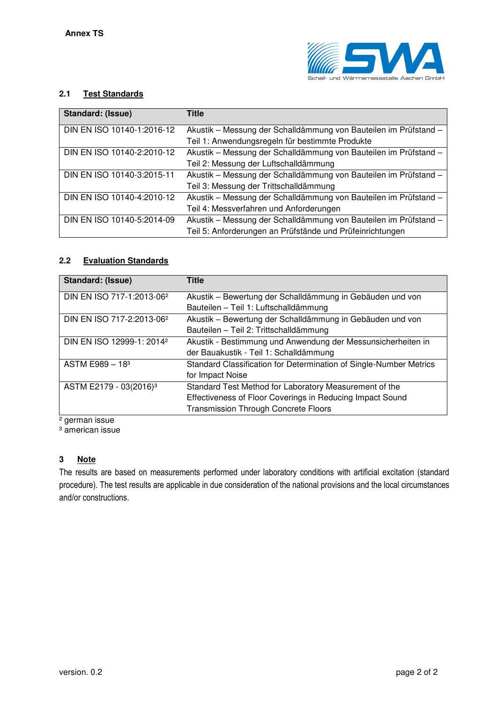

#### **2.1 Test Standards**

| Standard: (Issue)          | <b>Title</b>                                                     |
|----------------------------|------------------------------------------------------------------|
| DIN EN ISO 10140-1:2016-12 | Akustik - Messung der Schalldämmung von Bauteilen im Prüfstand - |
|                            | Teil 1: Anwendungsregeln für bestimmte Produkte                  |
| DIN EN ISO 10140-2:2010-12 | Akustik - Messung der Schalldämmung von Bauteilen im Prüfstand - |
|                            | Teil 2: Messung der Luftschalldämmung                            |
| DIN EN ISO 10140-3:2015-11 | Akustik - Messung der Schalldämmung von Bauteilen im Prüfstand - |
|                            | Teil 3: Messung der Trittschalldämmung                           |
| DIN EN ISO 10140-4:2010-12 | Akustik - Messung der Schalldämmung von Bauteilen im Prüfstand - |
|                            | Teil 4: Messverfahren und Anforderungen                          |
| DIN EN ISO 10140-5:2014-09 | Akustik - Messung der Schalldämmung von Bauteilen im Prüfstand - |
|                            | Teil 5: Anforderungen an Prüfstände und Prüfeinrichtungen        |

#### **2.2 Evaluation Standards**

| Standard: (Issue)                     | Title                                                              |
|---------------------------------------|--------------------------------------------------------------------|
| DIN EN ISO 717-1:2013-06 <sup>2</sup> | Akustik – Bewertung der Schalldämmung in Gebäuden und von          |
|                                       | Bauteilen - Teil 1: Luftschalldämmung                              |
| DIN EN ISO 717-2:2013-06 <sup>2</sup> | Akustik - Bewertung der Schalldämmung in Gebäuden und von          |
|                                       | Bauteilen - Teil 2: Trittschalldämmung                             |
| DIN EN ISO 12999-1: 2014 <sup>2</sup> | Akustik - Bestimmung und Anwendung der Messunsicherheiten in       |
|                                       | der Bauakustik - Teil 1: Schalldämmung                             |
| $ASTM E989 - 183$                     | Standard Classification for Determination of Single-Number Metrics |
|                                       | for Impact Noise                                                   |
| ASTM E2179 - 03(2016) <sup>3</sup>    | Standard Test Method for Laboratory Measurement of the             |
|                                       | Effectiveness of Floor Coverings in Reducing Impact Sound          |
|                                       | <b>Transmission Through Concrete Floors</b>                        |

² german issue

<sup>3</sup> american issue

#### **3 Note**

The results are based on measurements performed under laboratory conditions with artificial excitation (standard procedure). The test results are applicable in due consideration of the national provisions and the local circumstances and/or constructions.